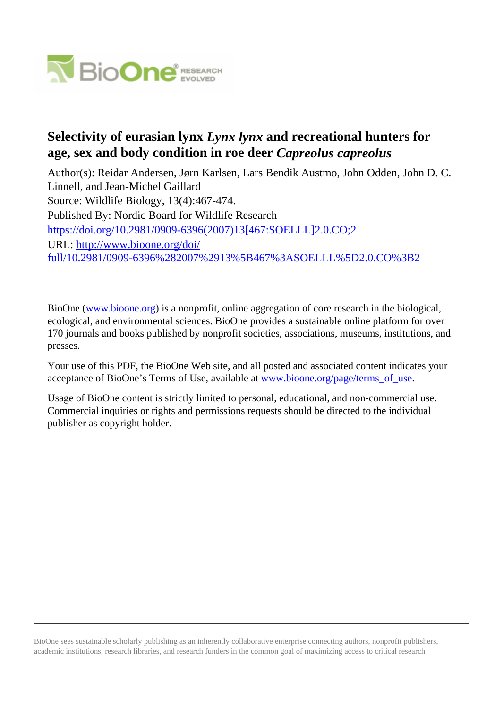

# **Selectivity of eurasian lynx** *Lynx lynx* **and recreational hunters for age, sex and body condition in roe deer** *Capreolus capreolus*

Author(s): Reidar Andersen, Jørn Karlsen, Lars Bendik Austmo, John Odden, John D. C. Linnell, and Jean-Michel Gaillard Source: Wildlife Biology, 13(4):467-474. Published By: Nordic Board for Wildlife Research [https://doi.org/10.2981/0909-6396\(2007\)13\[467:SOELLL\]2.0.CO;2](https://doi.org/10.2981/0909-6396(2007)13[467:SOELLL]2.0.CO;2) URL: [http://www.bioone.org/doi/](http://www.bioone.org/doi/full/10.2981/0909-6396%282007%2913%5B467%3ASOELLL%5D2.0.CO%3B2) [full/10.2981/0909-6396%282007%2913%5B467%3ASOELLL%5D2.0.CO%3B2](http://www.bioone.org/doi/full/10.2981/0909-6396%282007%2913%5B467%3ASOELLL%5D2.0.CO%3B2)

BioOne [\(www.bioone.org\)](http://www.bioone.org) is a nonprofit, online aggregation of core research in the biological, ecological, and environmental sciences. BioOne provides a sustainable online platform for over 170 journals and books published by nonprofit societies, associations, museums, institutions, and presses.

Your use of this PDF, the BioOne Web site, and all posted and associated content indicates your acceptance of BioOne's Terms of Use, available at [www.bioone.org/page/terms\\_of\\_use.](http://www.bioone.org/page/terms_of_use)

Usage of BioOne content is strictly limited to personal, educational, and non-commercial use. Commercial inquiries or rights and permissions requests should be directed to the individual publisher as copyright holder.

BioOne sees sustainable scholarly publishing as an inherently collaborative enterprise connecting authors, nonprofit publishers, academic institutions, research libraries, and research funders in the common goal of maximizing access to critical research.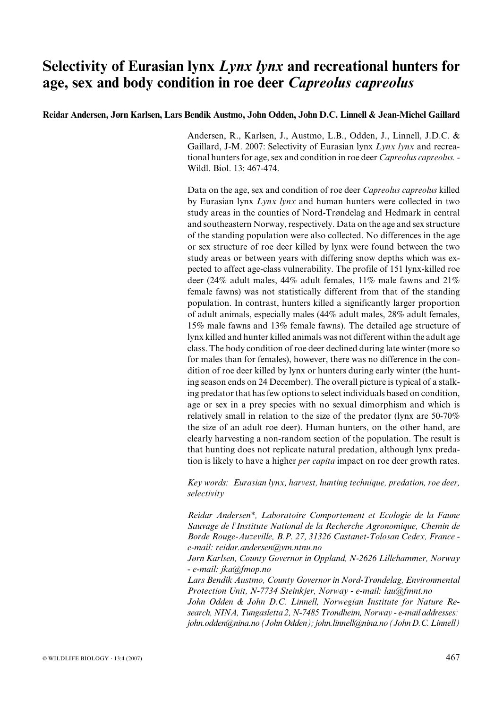# Selectivity of Eurasian lynx Lynx lynx and recreational hunters for age, sex and body condition in roe deer Capreolus capreolus

Reidar Andersen, Jørn Karlsen, Lars Bendik Austmo, John Odden, John D.C. Linnell & Jean-Michel Gaillard

Andersen, R., Karlsen, J., Austmo, L.B., Odden, J., Linnell, J.D.C. & Gaillard, J-M. 2007: Selectivity of Eurasian lynx Lynx lynx and recreational hunters for age, sex and condition in roe deer Capreolus capreolus. - Wildl. Biol. 13: 467-474.

Data on the age, sex and condition of roe deer Capreolus capreolus killed by Eurasian lynx Lynx lynx and human hunters were collected in two study areas in the counties of Nord-Trøndelag and Hedmark in central and southeastern Norway, respectively. Data on the age and sex structure of the standing population were also collected. No differences in the age or sex structure of roe deer killed by lynx were found between the two study areas or between years with differing snow depths which was expected to affect age-class vulnerability. The profile of 151 lynx-killed roe deer (24% adult males, 44% adult females, 11% male fawns and 21% female fawns) was not statistically different from that of the standing population. In contrast, hunters killed a significantly larger proportion of adult animals, especially males (44% adult males, 28% adult females, 15% male fawns and 13% female fawns). The detailed age structure of lynx killed and hunter killed animals was not different within the adult age class. The body condition of roe deer declined during late winter (more so for males than for females), however, there was no difference in the condition of roe deer killed by lynx or hunters during early winter (the hunting season ends on 24 December). The overall picture is typical of a stalking predator that has few options to select individuals based on condition, age or sex in a prey species with no sexual dimorphism and which is relatively small in relation to the size of the predator (lynx are 50-70% the size of an adult roe deer). Human hunters, on the other hand, are clearly harvesting a non-random section of the population. The result is that hunting does not replicate natural predation, although lynx predation is likely to have a higher *per capita* impact on roe deer growth rates.

Key words: Eurasian lynx, harvest, hunting technique, predation, roe deer, selectivity

Reidar Andersen\*, Laboratoire Comportement et Ecologie de la Faune Sauvage de l'Institute National de la Recherche Agronomique, Chemin de Borde Rouge-Auzeville, B.P. 27, 31326 Castanet-Tolosan Cedex, France e-mail: reidar.andersen@vm.ntnu.no

Jørn Karlsen, County Governor in Oppland, N-2626 Lillehammer, Norway - e-mail: jka@fmop.no

Lars Bendik Austmo, County Governor in Nord-Trøndelag, Environmental Protection Unit, N-7734 Steinkjer, Norway - e-mail: lau@fmnt.no

John Odden & John D.C. Linnell, Norwegian Institute for Nature Research, NINA, Tungasletta 2, N-7485 Trondheim, Norway - e-mail addresses: john.odden@nina.no (John Odden); john.linnell@nina.no (John D.C. Linnell)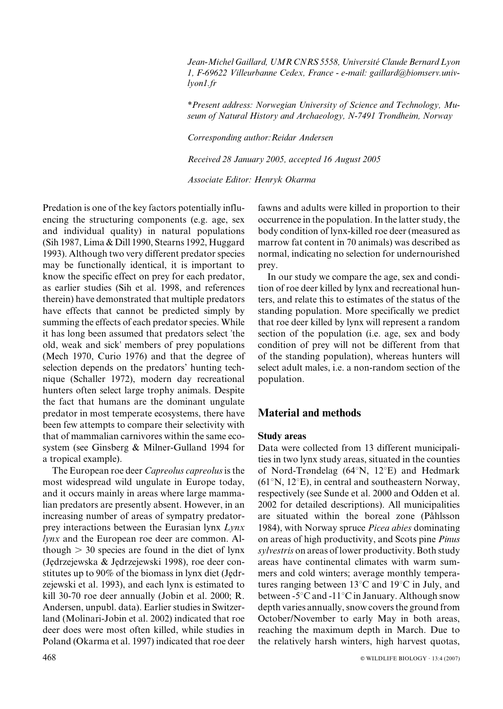Jean-Michel Gaillard, UMR CNRS 5558, Université Claude Bernard Lyon 1, F-69622 Villeurbanne Cedex, France - e-mail: gaillard@biomserv.univlyon1.fr

\*Present address: Norwegian University of Science and Technology, Museum of Natural History and Archaeology, N-7491 Trondheim, Norway

Corresponding author:Reidar Andersen

Received 28 January 2005, accepted 16 August 2005

Associate Editor: Henryk Okarma

Predation is one of the key factors potentially influencing the structuring components (e.g. age, sex and individual quality) in natural populations (Sih 1987, Lima & Dill 1990, Stearns 1992, Huggard 1993). Although two very different predator species may be functionally identical, it is important to know the specific effect on prey for each predator, as earlier studies (Sih et al. 1998, and references therein) have demonstrated that multiple predators have effects that cannot be predicted simply by summing the effects of each predator species. While it has long been assumed that predators select 'the old, weak and sick' members of prey populations (Mech 1970, Curio 1976) and that the degree of selection depends on the predators' hunting technique (Schaller 1972), modern day recreational hunters often select large trophy animals. Despite the fact that humans are the dominant ungulate predator in most temperate ecosystems, there have been few attempts to compare their selectivity with that of mammalian carnivores within the same ecosystem (see Ginsberg & Milner-Gulland 1994 for a tropical example).

The European roe deer Capreolus capreolus is the most widespread wild ungulate in Europe today, and it occurs mainly in areas where large mammalian predators are presently absent. However, in an increasing number of areas of sympatry predatorprey interactions between the Eurasian lynx Lynx lynx and the European roe deer are common. Although  $> 30$  species are found in the diet of lynx (Jedrzejewska & Jedrzejewski 1998), roe deer constitutes up to  $90\%$  of the biomass in lynx diet (Jedrzejewski et al. 1993), and each lynx is estimated to kill 30-70 roe deer annually (Jobin et al. 2000; R. Andersen, unpubl. data). Earlier studies in Switzerland (Molinari-Jobin et al. 2002) indicated that roe deer does were most often killed, while studies in Poland (Okarma et al. 1997) indicated that roe deer fawns and adults were killed in proportion to their occurrence in the population. In the latter study, the body condition of lynx-killed roe deer (measured as marrow fat content in 70 animals) was described as normal, indicating no selection for undernourished prey.

In our study we compare the age, sex and condition of roe deer killed by lynx and recreational hunters, and relate this to estimates of the status of the standing population. More specifically we predict that roe deer killed by lynx will represent a random section of the population (i.e. age, sex and body condition of prey will not be different from that of the standing population), whereas hunters will select adult males, i.e. a non-random section of the population.

# Material and methods

#### Study areas

Data were collected from 13 different municipalities in two lynx study areas, situated in the counties of Nord-Trøndelag (64 $\rm N$ , 12 $\rm E$ ) and Hedmark  $(61°N, 12°E)$ , in central and southeastern Norway, respectively (see Sunde et al. 2000 and Odden et al. 2002 for detailed descriptions). All municipalities are situated within the boreal zone (Påhlsson 1984), with Norway spruce Picea abies dominating on areas of high productivity, and Scots pine Pinus sylvestris on areas of lower productivity. Both study areas have continental climates with warm summers and cold winters; average monthly temperatures ranging between  $13^{\circ}$ C and  $19^{\circ}$ C in July, and between  $-5^{\circ}$ C and  $-11^{\circ}$ C in January. Although snow depth varies annually, snow covers the ground from October/November to early May in both areas, reaching the maximum depth in March. Due to the relatively harsh winters, high harvest quotas,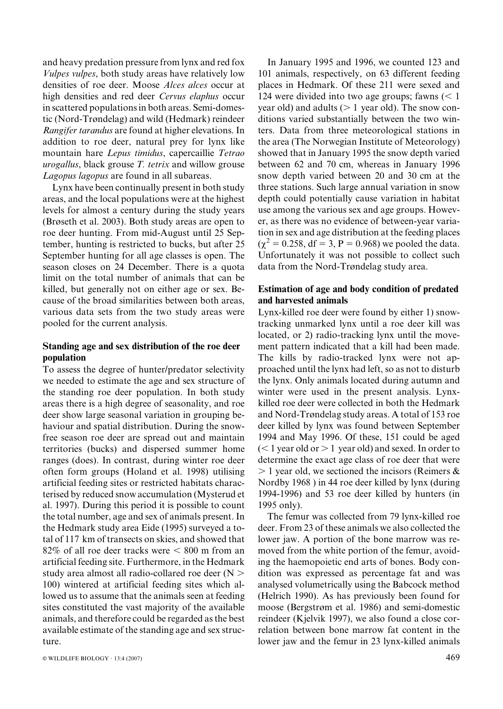and heavy predation pressure from lynx and red fox Vulpes vulpes, both study areas have relatively low densities of roe deer. Moose *Alces alces* occur at high densities and red deer Cervus elaphus occur in scattered populations in both areas. Semi-domestic (Nord-Trøndelag) and wild (Hedmark) reindeer Rangifer tarandus are found at higher elevations. In addition to roe deer, natural prey for lynx like mountain hare Lepus timidus, capercaillie Tetrao urogallus, black grouse T. tetrix and willow grouse Lagopus lagopus are found in all subareas.

Lynx have been continually present in both study areas, and the local populations were at the highest levels for almost a century during the study years (Brøseth et al. 2003). Both study areas are open to roe deer hunting. From mid-August until 25 September, hunting is restricted to bucks, but after 25 September hunting for all age classes is open. The season closes on 24 December. There is a quota limit on the total number of animals that can be killed, but generally not on either age or sex. Because of the broad similarities between both areas, various data sets from the two study areas were pooled for the current analysis.

### Standing age and sex distribution of the roe deer population

To assess the degree of hunter/predator selectivity we needed to estimate the age and sex structure of the standing roe deer population. In both study areas there is a high degree of seasonality, and roe deer show large seasonal variation in grouping behaviour and spatial distribution. During the snowfree season roe deer are spread out and maintain territories (bucks) and dispersed summer home ranges (does). In contrast, during winter roe deer often form groups (Holand et al. 1998) utilising artificial feeding sites or restricted habitats characterised by reduced snow accumulation (Mysterud et al. 1997). During this period it is possible to count the total number, age and sex of animals present. In the Hedmark study area Eide (1995) surveyed a total of 117 km of transects on skies, and showed that  $82\%$  of all roe deer tracks were  $\leq 800$  m from an artificial feeding site. Furthermore, in the Hedmark study area almost all radio-collared roe deer  $(N >$ 100) wintered at artificial feeding sites which allowed us to assume that the animals seen at feeding sites constituted the vast majority of the available animals, and therefore could be regarded as the best available estimate of the standing age and sex structure.

In January 1995 and 1996, we counted 123 and 101 animals, respectively, on 63 different feeding places in Hedmark. Of these 211 were sexed and 124 were divided into two age groups; fawns  $\leq 1$ year old) and adults  $(> 1$  year old). The snow conditions varied substantially between the two winters. Data from three meteorological stations in the area (The Norwegian Institute of Meteorology) showed that in January 1995 the snow depth varied between 62 and 70 cm, whereas in January 1996 snow depth varied between 20 and 30 cm at the three stations. Such large annual variation in snow depth could potentially cause variation in habitat use among the various sex and age groups. However, as there was no evidence of between-year variation in sex and age distribution at the feeding places  $(\chi^2 = 0.258, df = 3, P = 0.968)$  we pooled the data. Unfortunately it was not possible to collect such data from the Nord-Trøndelag study area.

#### Estimation of age and body condition of predated and harvested animals

Lynx-killed roe deer were found by either 1) snowtracking unmarked lynx until a roe deer kill was located, or 2) radio-tracking lynx until the movement pattern indicated that a kill had been made. The kills by radio-tracked lynx were not approached until the lynx had left, so as not to disturb the lynx. Only animals located during autumn and winter were used in the present analysis. Lynxkilled roe deer were collected in both the Hedmark and Nord-Trøndelag study areas. A total of 153 roe deer killed by lynx was found between September 1994 and May 1996. Of these, 151 could be aged  $(< 1$  year old or  $> 1$  year old) and sexed. In order to determine the exact age class of roe deer that were  $> 1$  year old, we sectioned the incisors (Reimers & Nordby 1968 ) in 44 roe deer killed by lynx (during 1994-1996) and 53 roe deer killed by hunters (in 1995 only).

The femur was collected from 79 lynx-killed roe deer. From 23 of these animals we also collected the lower jaw. A portion of the bone marrow was removed from the white portion of the femur, avoiding the haemopoietic end arts of bones. Body condition was expressed as percentage fat and was analysed volumetrically using the Babcock method (Helrich 1990). As has previously been found for moose (Bergstrøm et al. 1986) and semi-domestic reindeer (Kjelvik 1997), we also found a close correlation between bone marrow fat content in the lower jaw and the femur in 23 lynx-killed animals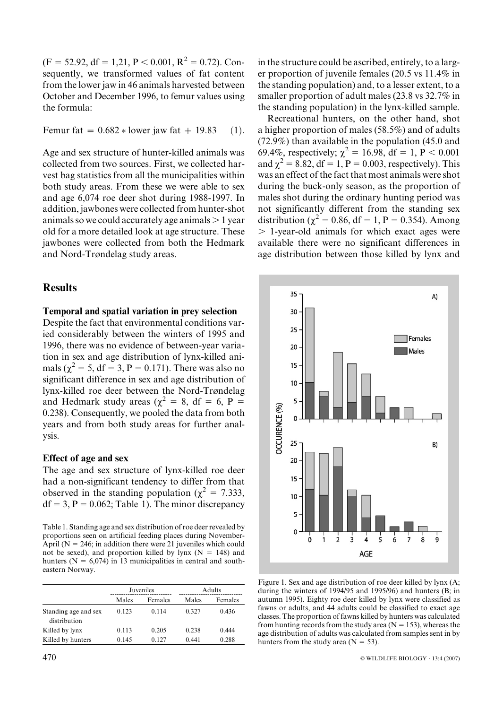$(F = 52.92, df = 1,21, P < 0.001, R^2 = 0.72)$ . Consequently, we transformed values of fat content from the lower jaw in 46 animals harvested between October and December 1996, to femur values using the formula:

Femur fat = 
$$
0.682 *
$$
 lower jaw fat + 19.83 (1).

Age and sex structure of hunter-killed animals was collected from two sources. First, we collected harvest bag statistics from all the municipalities within both study areas. From these we were able to sex and age 6,074 roe deer shot during 1988-1997. In addition, jawbones were collected from hunter-shot animals so we could accurately age animals  $> 1$  year old for a more detailed look at age structure. These jawbones were collected from both the Hedmark and Nord-Trøndelag study areas.

# **Results**

#### Temporal and spatial variation in prey selection

Despite the fact that environmental conditions varied considerably between the winters of 1995 and 1996, there was no evidence of between-year variation in sex and age distribution of lynx-killed animals ( $\chi^2 = 5$ , df = 3, P = 0.171). There was also no significant difference in sex and age distribution of lynx-killed roe deer between the Nord-Trøndelag and Hedmark study areas ( $\chi^2 = 8$ , df = 6, P = 0.238). Consequently, we pooled the data from both years and from both study areas for further analysis.

### Effect of age and sex

The age and sex structure of lynx-killed roe deer had a non-significant tendency to differ from that observed in the standing population ( $\chi^2$  = 7.333,  $df = 3$ ,  $P = 0.062$ ; Table 1). The minor discrepancy

Table 1. Standing age and sex distribution of roe deer revealed by proportions seen on artificial feeding places during November-April ( $N = 246$ ; in addition there were 21 juveniles which could not be sexed), and proportion killed by lynx ( $N = 148$ ) and hunters ( $N = 6,074$ ) in 13 municipalities in central and southeastern Norway.

|                                      | Juveniles |         | Adults |         |
|--------------------------------------|-----------|---------|--------|---------|
|                                      | Males     | Females | Males  | Females |
| Standing age and sex<br>distribution | 0.123     | 0.114   | 0.327  | 0.436   |
| Killed by lynx                       | 0.113     | 0.205   | 0.238  | 0.444   |
| Killed by hunters                    | 0.145     | 0.127   | 0.441  | 0.288   |

in the structure could be ascribed, entirely, to a larger proportion of juvenile females (20.5 vs 11.4% in the standing population) and, to a lesser extent, to a smaller proportion of adult males (23.8 vs 32.7% in the standing population) in the lynx-killed sample.

Recreational hunters, on the other hand, shot a higher proportion of males (58.5%) and of adults (72.9%) than available in the population (45.0 and 69.4%, respectively;  $\chi^2 = 16.98$ , df = 1, P < 0.001 and  $\chi^2 = 8.82$ , df = 1, P = 0.003, respectively). This was an effect of the fact that most animals were shot during the buck-only season, as the proportion of males shot during the ordinary hunting period was not significantly different from the standing sex distribution ( $\chi^2 = 0.86$ , df = 1, P = 0.354). Among  $>$  1-year-old animals for which exact ages were available there were no significant differences in age distribution between those killed by lynx and



Figure 1. Sex and age distribution of roe deer killed by lynx (A; during the winters of 1994/95 and 1995/96) and hunters (B; in autumn 1995). Eighty roe deer killed by lynx were classified as fawns or adults, and 44 adults could be classified to exact age classes. The proportion of fawns killed by hunters was calculated from hunting records from the study area ( $N = 153$ ), whereas the age distribution of adults was calculated from samples sent in by hunters from the study area ( $N = 53$ ).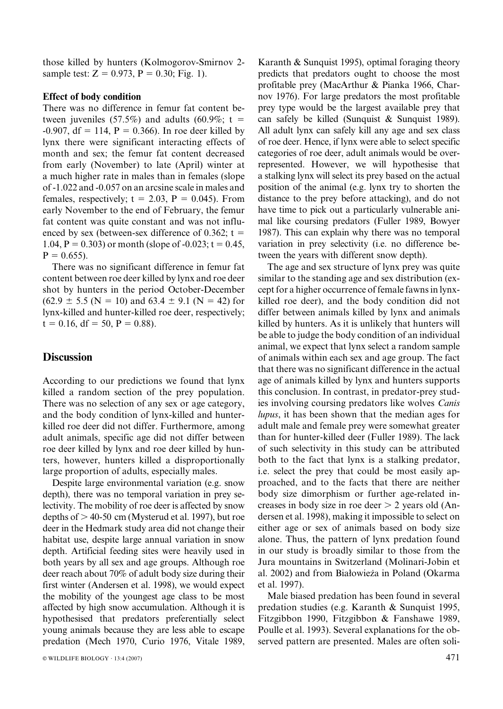those killed by hunters (Kolmogorov-Smirnov 2 sample test:  $Z = 0.973$ ,  $P = 0.30$ ; Fig. 1).

#### Effect of body condition

There was no difference in femur fat content between juveniles (57.5%) and adults (60.9%; t =  $-0.907$ , df = 114, P = 0.366). In roe deer killed by lynx there were significant interacting effects of month and sex; the femur fat content decreased from early (November) to late (April) winter at a much higher rate in males than in females (slope of -1.022 and -0.057 on an arcsine scale in males and females, respectively;  $t = 2.03$ ,  $P = 0.045$ ). From early November to the end of February, the femur fat content was quite constant and was not influenced by sex (between-sex difference of 0.362;  $t =$ 1.04, P = 0.303) or month (slope of -0.023; t = 0.45,  $P = 0.655$ .

There was no significant difference in femur fat content between roe deer killed by lynx and roe deer shot by hunters in the period October-December  $(62.9 \pm 5.5 \text{ (N } = 10) \text{ and } 63.4 \pm 9.1 \text{ (N } = 42) \text{ for }$ lynx-killed and hunter-killed roe deer, respectively;  $t = 0.16$ , df = 50, P = 0.88).

# **Discussion**

According to our predictions we found that lynx killed a random section of the prey population. There was no selection of any sex or age category, and the body condition of lynx-killed and hunterkilled roe deer did not differ. Furthermore, among adult animals, specific age did not differ between roe deer killed by lynx and roe deer killed by hunters, however, hunters killed a disproportionally large proportion of adults, especially males.

Despite large environmental variation (e.g. snow depth), there was no temporal variation in prey selectivity. The mobility of roe deer is affected by snow depths of  $> 40-50$  cm (Mysterud et al. 1997), but roe deer in the Hedmark study area did not change their habitat use, despite large annual variation in snow depth. Artificial feeding sites were heavily used in both years by all sex and age groups. Although roe deer reach about 70% of adult body size during their first winter (Andersen et al. 1998), we would expect the mobility of the youngest age class to be most affected by high snow accumulation. Although it is hypothesised that predators preferentially select young animals because they are less able to escape predation (Mech 1970, Curio 1976, Vitale 1989,

Karanth & Sunquist 1995), optimal foraging theory predicts that predators ought to choose the most profitable prey (MacArthur & Pianka 1966, Charnov 1976). For large predators the most profitable prey type would be the largest available prey that can safely be killed (Sunquist & Sunquist 1989). All adult lynx can safely kill any age and sex class of roe deer. Hence, if lynx were able to select specific categories of roe deer, adult animals would be overrepresented. However, we will hypothesise that a stalking lynx will select its prey based on the actual position of the animal (e.g. lynx try to shorten the distance to the prey before attacking), and do not have time to pick out a particularly vulnerable animal like coursing predators (Fuller 1989, Bowyer 1987). This can explain why there was no temporal variation in prey selectivity (i.e. no difference between the years with different snow depth).

The age and sex structure of lynx prey was quite similar to the standing age and sex distribution (except for a higher occurrence of female fawns in lynxkilled roe deer), and the body condition did not differ between animals killed by lynx and animals killed by hunters. As it is unlikely that hunters will be able to judge the body condition of an individual animal, we expect that lynx select a random sample of animals within each sex and age group. The fact that there was no significant difference in the actual age of animals killed by lynx and hunters supports this conclusion. In contrast, in predator-prey studies involving coursing predators like wolves Canis lupus, it has been shown that the median ages for adult male and female prey were somewhat greater than for hunter-killed deer (Fuller 1989). The lack of such selectivity in this study can be attributed both to the fact that lynx is a stalking predator, i.e. select the prey that could be most easily approached, and to the facts that there are neither body size dimorphism or further age-related increases in body size in roe deer  $> 2$  years old (Andersen et al. 1998), making it impossible to select on either age or sex of animals based on body size alone. Thus, the pattern of lynx predation found in our study is broadly similar to those from the Jura mountains in Switzerland (Molinari-Jobin et al. 2002) and from Białowieża in Poland (Okarma et al. 1997).

Male biased predation has been found in several predation studies (e.g. Karanth & Sunquist 1995, Fitzgibbon 1990, Fitzgibbon & Fanshawe 1989, Poulle et al. 1993). Several explanations for the observed pattern are presented. Males are often soli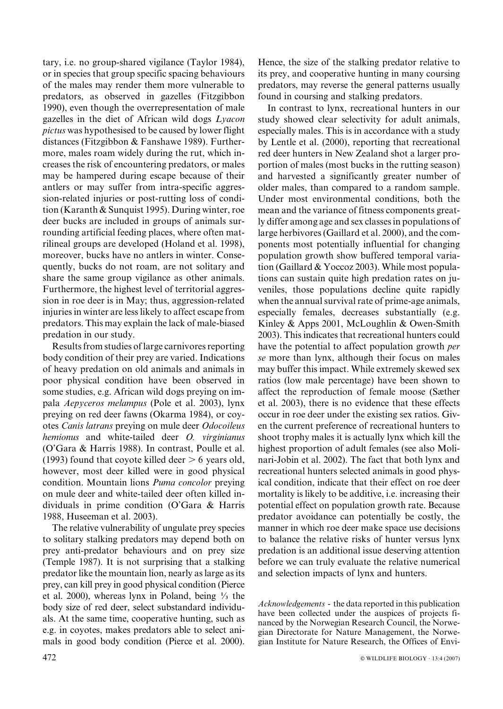tary, i.e. no group-shared vigilance (Taylor 1984), or in species that group specific spacing behaviours of the males may render them more vulnerable to predators, as observed in gazelles (Fitzgibbon 1990), even though the overrepresentation of male gazelles in the diet of African wild dogs Lyacon pictus was hypothesised to be caused by lower flight distances (Fitzgibbon & Fanshawe 1989). Furthermore, males roam widely during the rut, which increases the risk of encountering predators, or males may be hampered during escape because of their antlers or may suffer from intra-specific aggression-related injuries or post-rutting loss of condition (Karanth & Sunquist 1995). During winter, roe deer bucks are included in groups of animals surrounding artificial feeding places, where often matrilineal groups are developed (Holand et al. 1998), moreover, bucks have no antlers in winter. Consequently, bucks do not roam, are not solitary and share the same group vigilance as other animals. Furthermore, the highest level of territorial aggression in roe deer is in May; thus, aggression-related injuries in winter are less likely to affect escape from predators. This may explain the lack of male-biased predation in our study.

Results from studies of large carnivores reporting body condition of their prey are varied. Indications of heavy predation on old animals and animals in poor physical condition have been observed in some studies, e.g. African wild dogs preying on impala Aepyceros melampus (Pole et al. 2003), lynx preying on red deer fawns (Okarma 1984), or coyotes Canis latrans preying on mule deer Odocoileus hemionus and white-tailed deer O. virginianus (O'Gara & Harris 1988). In contrast, Poulle et al. (1993) found that coyote killed deer  $> 6$  years old, however, most deer killed were in good physical condition. Mountain lions Puma concolor preying on mule deer and white-tailed deer often killed individuals in prime condition (O'Gara & Harris 1988, Huseeman et al. 2003).

The relative vulnerability of ungulate prey species to solitary stalking predators may depend both on prey anti-predator behaviours and on prey size (Temple 1987). It is not surprising that a stalking predator like the mountain lion, nearly as large as its prey, can kill prey in good physical condition (Pierce et al. 2000), whereas lynx in Poland, being  $\frac{1}{3}$  the body size of red deer, select substandard individuals. At the same time, cooperative hunting, such as e.g. in coyotes, makes predators able to select animals in good body condition (Pierce et al. 2000).

Hence, the size of the stalking predator relative to its prey, and cooperative hunting in many coursing predators, may reverse the general patterns usually found in coursing and stalking predators.

In contrast to lynx, recreational hunters in our study showed clear selectivity for adult animals, especially males. This is in accordance with a study by Lentle et al. (2000), reporting that recreational red deer hunters in New Zealand shot a larger proportion of males (most bucks in the rutting season) and harvested a significantly greater number of older males, than compared to a random sample. Under most environmental conditions, both the mean and the variance of fitness components greatly differ among age and sex classes in populations of large herbivores (Gaillard et al. 2000), and the components most potentially influential for changing population growth show buffered temporal variation (Gaillard & Yoccoz 2003). While most populations can sustain quite high predation rates on juveniles, those populations decline quite rapidly when the annual survival rate of prime-age animals, especially females, decreases substantially (e.g. Kinley & Apps 2001, McLoughlin & Owen-Smith 2003). This indicates that recreational hunters could have the potential to affect population growth per se more than lynx, although their focus on males may buffer this impact. While extremely skewed sex ratios (low male percentage) have been shown to affect the reproduction of female moose (Sæther et al. 2003), there is no evidence that these effects occur in roe deer under the existing sex ratios. Given the current preference of recreational hunters to shoot trophy males it is actually lynx which kill the highest proportion of adult females (see also Molinari-Jobin et al. 2002). The fact that both lynx and recreational hunters selected animals in good physical condition, indicate that their effect on roe deer mortality is likely to be additive, i.e. increasing their potential effect on population growth rate. Because predator avoidance can potentially be costly, the manner in which roe deer make space use decisions to balance the relative risks of hunter versus lynx predation is an additional issue deserving attention before we can truly evaluate the relative numerical and selection impacts of lynx and hunters.

Acknowledgements - the data reported in this publication have been collected under the auspices of projects financed by the Norwegian Research Council, the Norwegian Directorate for Nature Management, the Norwegian Institute for Nature Research, the Offices of Envi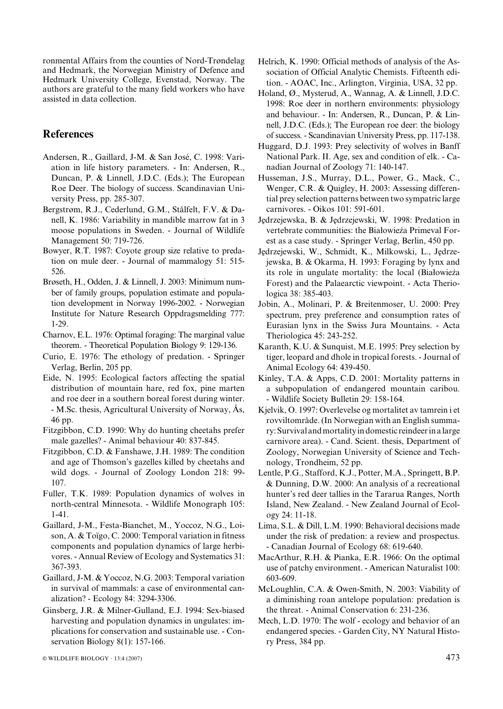ronmental Affairs from the counties of Nord-Trøndelag and Hedmark, the Norwegian Ministry of Defence and Hedmark University College, Evenstad, Norway. The authors are grateful to the many field workers who have assisted in data collection.

# References

- Andersen, R., Gaillard, J-M. & San José, C. 1998: Variation in life history parameters. - In: Andersen, R., Duncan, P. & Linnell, J.D.C. (Eds.); The European Roe Deer. The biology of success. Scandinavian University Press, pp. 285-307.
- Bergstrøm, R.J., Cederlund, G.M., Stålfelt, F.V. & Danell, K. 1986: Variability in mandible marrow fat in 3 moose populations in Sweden. - Journal of Wildlife Management 50: 719-726.
- Bowyer, R.T. 1987: Coyote group size relative to predation on mule deer. - Journal of mammalogy 51: 515- 526.
- Brøseth, H., Odden, J. & Linnell, J. 2003: Minimum number of family groups, population estimate and population development in Norway 1996-2002. - Norwegian Institute for Nature Research Oppdragsmelding 777: 1-29.
- Charnov, E.L. 1976: Optimal foraging: The marginal value theorem. - Theoretical Population Biology 9: 129-136.
- Curio, E. 1976: The ethology of predation. Springer Verlag, Berlin, 205 pp.
- Eide, N. 1995: Ecological factors affecting the spatial distribution of mountain hare, red fox, pine marten and roe deer in a southern boreal forest during winter. - M.Sc. thesis, Agricultural University of Norway, Ås, 46 pp.
- Fitzgibbon, C.D. 1990: Why do hunting cheetahs prefer male gazelles? - Animal behaviour 40: 837-845.
- Fitzgibbon, C.D. & Fanshawe, J.H. 1989: The condition and age of Thomson's gazelles killed by cheetahs and wild dogs. - Journal of Zoology London 218: 99- 107.
- Fuller, T.K. 1989: Population dynamics of wolves in north-central Minnesota. - Wildlife Monograph 105: 1-41.
- Gaillard, J-M., Festa-Bianchet, M., Yoccoz, N.G., Loison, A. & Toïgo, C. 2000: Temporal variation in fitness components and population dynamics of large herbivores. - Annual Review of Ecology and Systematics 31: 367-393.
- Gaillard, J-M. & Yoccoz, N.G. 2003: Temporal variation in survival of mammals: a case of environmental canalization? - Ecology 84: 3294-3306.
- Ginsberg, J.R. & Milner-Gulland, E.J. 1994: Sex-biased harvesting and population dynamics in ungulates: implications for conservation and sustainable use. - Conservation Biology 8(1): 157-166.
- Helrich, K. 1990: Official methods of analysis of the Association of Official Analytic Chemists. Fifteenth edition. - AOAC, Inc., Arlington, Virginia, USA, 32 pp.
- Holand, Ø., Mysterud, A., Wannag, A. & Linnell, J.D.C. 1998: Roe deer in northern environments: physiology and behaviour. - In: Andersen, R., Duncan, P. & Linnell, J.D.C. (Eds.); The European roe deer: the biology of success. - Scandinavian University Press, pp. 117-138.
- Huggard, D.J. 1993: Prey selectivity of wolves in Banff National Park. II. Age, sex and condition of elk. - Canadian Journal of Zoology 71: 140-147.
- Husseman, J.S., Murray, D.L., Power, G., Mack, C., Wenger, C.R. & Quigley, H. 2003: Assessing differential prey selection patterns between two sympatric large carnivores. - Oikos 101: 591-601.
- Jedrzejewska, B. & Jedrzejewski, W. 1998: Predation in vertebrate communities: the Białowieża Primeval Forest as a case study. - Springer Verlag, Berlin, 450 pp.
- Jędrzejewski, W., Schmidt, K., Milkowski, L., Jędrzejewska, B. & Okarma, H. 1993: Foraging by lynx and its role in ungulate mortality: the local (Białowieża Forest) and the Palaearctic viewpoint. - Acta Theriologica 38: 385-403.
- Jobin, A., Molinari, P. & Breitenmoser, U. 2000: Prey spectrum, prey preference and consumption rates of Eurasian lynx in the Swiss Jura Mountains. - Acta Theriologica 45: 243-252.
- Karanth, K.U. & Sunquist, M.E. 1995: Prey selection by tiger, leopard and dhole in tropical forests. - Journal of Animal Ecology 64: 439-450.
- Kinley, T.A. & Apps, C.D. 2001: Mortality patterns in a subpopulation of endangered mountain caribou. - Wildlife Society Bulletin 29: 158-164.
- Kjelvik, O. 1997: Overlevelse og mortalitet av tamrein i et rovviltområde. (In Norwegian with an English summary: Survival and mortality in domestic reindeer in a large carnivore area). - Cand. Scient. thesis, Department of Zoology, Norwegian University of Science and Technology, Trondheim, 52 pp.
- Lentle, P.G., Stafford, K.J., Potter, M.A., Springett, B.P. & Dunning, D.W. 2000: An analysis of a recreational hunter's red deer tallies in the Tararua Ranges, North Island, New Zealand. - New Zealand Journal of Ecology 24: 11-18.
- Lima, S.L. & Dill, L.M. 1990: Behavioral decisions made under the risk of predation: a review and prospectus. - Canadian Journal of Ecology 68: 619-640.
- MacArthur, R.H. & Pianka, E.R. 1966: On the optimal use of patchy environment. - American Naturalist 100: 603-609.
- McLoughlin, C.A. & Owen-Smith, N. 2003: Viability of a diminishing roan antelope population: predation is the threat. - Animal Conservation 6: 231-236.
- Mech, L.D. 1970: The wolf ecology and behavior of an endangered species. - Garden City, NY Natural History Press, 384 pp.